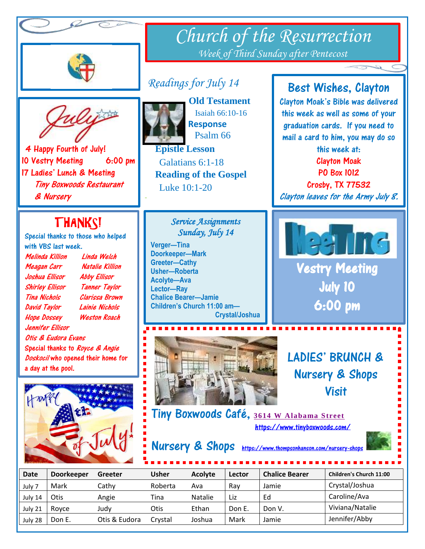



## *Readings for July 14*



L

I

I ī

I

4 Happy Fourth of July! 10 Vestry Meeting 6:00 pm 17 Ladies' Lunch & Meeting Tiny Boxwoods Restaurant & Nursery

# THANKS!

Special thanks to those who helped with VBS last week.

| Melinda Killion                 | Linda Welch                        |  |  |  |
|---------------------------------|------------------------------------|--|--|--|
| Meagan Carr                     | Natalie Killion                    |  |  |  |
| Joshua Ellisor                  | <b>Abby Ellisor</b>                |  |  |  |
| <b>Shirley Ellisor</b>          | <b>Tanner Taylor</b>               |  |  |  |
| Tina Nichols                    | Clarissa Brown                     |  |  |  |
| <b>David Taylor</b>             | Lainie Nichols                     |  |  |  |
| <b>Hope Dossey</b>              | <b>Weston Roach</b>                |  |  |  |
| Jennifer Fllisor.               |                                    |  |  |  |
| Otis & Eudora Evans             |                                    |  |  |  |
| Special thanks to Royce & Angie |                                    |  |  |  |
|                                 | Doskocil who opened their home for |  |  |  |
| a day at the pool.              |                                    |  |  |  |





-

)

 **Old Testament** Isaiah 66:10-16 **Response** Psalm 66

 **Epistle Lesson** Galatians 6:1-18  **Reading of the Gospel**  Luke 10:1-20

### *Service Assignments Sunday, July 14*

**Verger—Tina Doorkeeper—Mark Greeter—Cathy Usher—Roberta Acolyte—Ava Lector—Ray Chalice Bearer—Jamie Children's Church 11:00 am— Crystal/Joshua**



### Best Wishes, Clayton

Clayton Moak's Bible was delivered this week as well as some of your graduation cards. If you need to mail a card to him, you may do so

this week at: Clayton Moak

PO Box 1012 Crosby, TX 77532

Clayton leaves for the Army July 8.



Vestry Meeting July 10 6:00 pm

LADIES' BRUNCH & Nursery & Shops Visit

Tiny Boxwoods Café, **[3614 W Alabama Street](http://www.google.com/maps/search/3614%20W%20Alabama%20Street%2C%20Houston%2C%20TX%2077027)** <https://www.tinyboxwoods.com/>

Nursery & Shops <https://www.thompsonhanson.com/nursery-shops>

| <b>Date</b> | <b>Doorkeeper</b> | Greeter       | <b>Usher</b> | <b>Acolyte</b> | Lector | <b>Chalice Bearer</b> | <b>Children's Church 11:00</b> |
|-------------|-------------------|---------------|--------------|----------------|--------|-----------------------|--------------------------------|
| July 7      | Mark              | Cathy         | Roberta      | Ava            | Rav    | Jamie                 | Crystal/Joshua                 |
| July 14     | Otis              | Angie         | Tina         | Natalie        | Liz    | Ed                    | Caroline/Ava                   |
| July 21     | Rovce             | Judv          | Otis         | Ethan          | Don E. | Don V.                | Viviana/Natalie                |
| July 28     | Don E.            | Otis & Eudora | Crvstal      | Joshua         | Mark   | Jamie                 | Jennifer/Abby                  |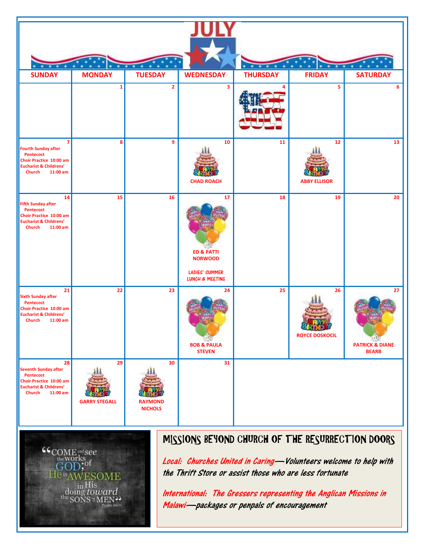



## MISSIONS BEYOND CHURCH OF THE RESURRECTION DOORS

Local: Churches United in Caring—Volunteers welcome to help with the Thrift Store or assist those who are less fortunate

International: The Gressers representing the Anglican Missions in Malawi—packages or penpals of encouragement